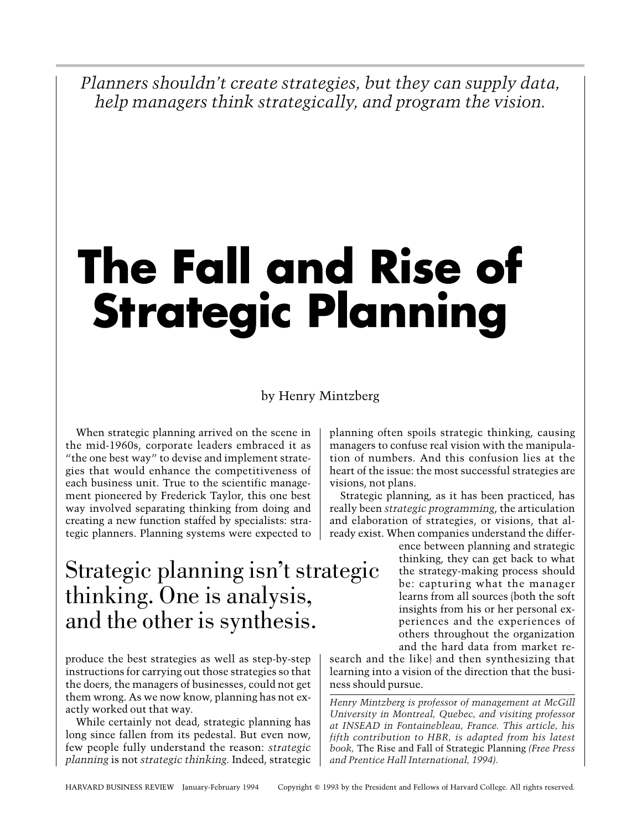*Planners shouldn't create strategies, but they can supply data, help managers think strategically, and program the vision.*

# The Fall and Rise of<br>Strategic Planning

### by Henry Mintzberg

When strategic planning arrived on the scene in the mid-1960s, corporate leaders embraced it as "the one best way" to devise and implement strategies that would enhance the competitiveness of each business unit. True to the scientific management pioneered by Frederick Taylor, this one best way involved separating thinking from doing and creating a new function staffed by specialists: strategic planners. Planning systems were expected to

# Strategic planning isn't strategic thinking. One is analysis, and the other is synthesis.

produce the best strategies as well as step-by-step instructions for carrying out those strategies so that the doers, the managers of businesses, could not get them wrong. As we now know, planning has not exactly worked out that way.

While certainly not dead, strategic planning has long since fallen from its pedestal. But even now, few people fully understand the reason: *strategic planning* is not *strategic thinking.* Indeed, strategic planning often spoils strategic thinking, causing managers to confuse real vision with the manipulation of numbers. And this confusion lies at the heart of the issue: the most successful strategies are visions, not plans.

Strategic planning, as it has been practiced, has really been *strategic programming*, the articulation and elaboration of strategies, or visions, that already exist. When companies understand the differ-

> ence between planning and strategic thinking, they can get back to what the strategy-making process should be: capturing what the manager learns from all sources (both the soft insights from his or her personal experiences and the experiences of others throughout the organization and the hard data from market re-

search and the like) and then synthesizing that learning into a vision of the direction that the business should pursue.

*Henry Mintzberg is professor of management at McGill University in Montreal, Quebec, and visiting professor at INSEAD in Fontainebleau, France. This article, his fifth contribution to HBR, is adapted from his latest book,* The Rise and Fall of Strategic Planning *(Free Press and Prentice Hall International, 1994).*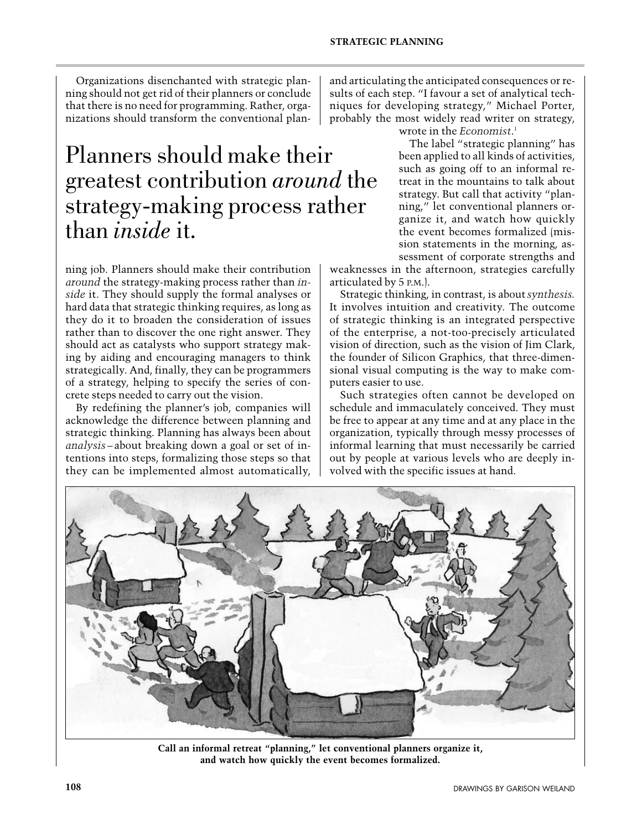Organizations disenchanted with strategic planning should not get rid of their planners or conclude that there is no need for programming. Rather, organizations should transform the conventional plan-

# Planners should make their greatest contribution *around* the strategy-making process rather than *inside* it.

ning job. Planners should make their contribution *around* the strategy-making process rather than *inside* it. They should supply the formal analyses or hard data that strategic thinking requires, as long as they do it to broaden the consideration of issues rather than to discover the one right answer. They should act as catalysts who support strategy making by aiding and encouraging managers to think strategically. And, finally, they can be programmers of a strategy, helping to specify the series of concrete steps needed to carry out the vision.

By redefining the planner's job, companies will acknowledge the difference between planning and strategic thinking. Planning has always been about *analysis* – about breaking down a goal or set of intentions into steps, formalizing those steps so that they can be implemented almost automatically,

and articulating the anticipated consequences or results of each step. "I favour a set of analytical techniques for developing strategy," Michael Porter, probably the most widely read writer on strategy,

wrote in the *Economist*. 1

The label "strategic planning" has been applied to all kinds of activities, such as going off to an informal retreat in the mountains to talk about strategy. But call that activity "planning," let conventional planners organize it, and watch how quickly the event becomes formalized (mission statements in the morning, assessment of corporate strengths and

weaknesses in the afternoon, strategies carefully articulated by 5 P.M.).

Strategic thinking, in contrast, is about *synthesis.* It involves intuition and creativity. The outcome of strategic thinking is an integrated perspective of the enterprise, a not-too-precisely articulated vision of direction, such as the vision of Jim Clark, the founder of Silicon Graphics, that three-dimensional visual computing is the way to make computers easier to use.

Such strategies often cannot be developed on schedule and immaculately conceived. They must be free to appear at any time and at any place in the organization, typically through messy processes of informal learning that must necessarily be carried out by people at various levels who are deeply involved with the specific issues at hand.



**Call an informal retreat "planning," let conventional planners organize it, and watch how quickly the event becomes formalized.**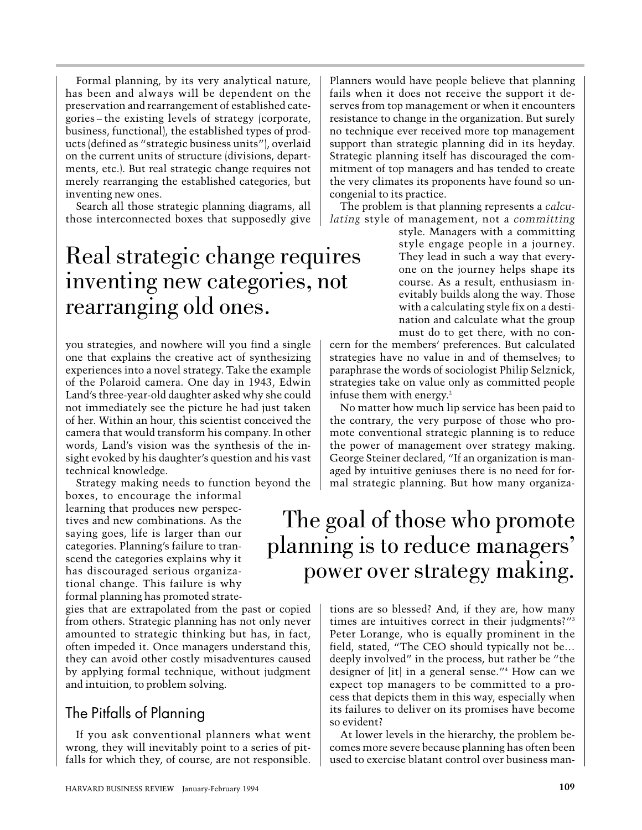Formal planning, by its very analytical nature, has been and always will be dependent on the preservation and rearrangement of established categories – the existing levels of strategy (corporate, business, functional), the established types of products (defined as "strategic business units"), overlaid on the current units of structure (divisions, departments, etc.). But real strategic change requires not merely rearranging the established categories, but inventing new ones.

Search all those strategic planning diagrams, all those interconnected boxes that supposedly give

# Real strategic change requires inventing new categories, not rearranging old ones.

you strategies, and nowhere will you find a single one that explains the creative act of synthesizing experiences into a novel strategy. Take the example of the Polaroid camera. One day in 1943, Edwin Land's three-year-old daughter asked why she could not immediately see the picture he had just taken of her. Within an hour, this scientist conceived the camera that would transform his company. In other words, Land's vision was the synthesis of the insight evoked by his daughter's question and his vast technical knowledge.

Strategy making needs to function beyond the boxes, to encourage the informal

learning that produces new perspectives and new combinations. As the saying goes, life is larger than our categories. Planning's failure to transcend the categories explains why it has discouraged serious organizational change. This failure is why formal planning has promoted strate-

gies that are extrapolated from the past or copied from others. Strategic planning has not only never amounted to strategic thinking but has, in fact, often impeded it. Once managers understand this, they can avoid other costly misadventures caused by applying formal technique, without judgment and intuition, to problem solving.

## The Pitfalls of Planning

If you ask conventional planners what went wrong, they will inevitably point to a series of pitfalls for which they, of course, are not responsible. Planners would have people believe that planning fails when it does not receive the support it deserves from top management or when it encounters resistance to change in the organization. But surely no technique ever received more top management support than strategic planning did in its heyday. Strategic planning itself has discouraged the commitment of top managers and has tended to create the very climates its proponents have found so uncongenial to its practice.

The problem is that planning represents a *calculating* style of management, not a *committing*

> style. Managers with a committing style engage people in a journey. They lead in such a way that everyone on the journey helps shape its course. As a result, enthusiasm inevitably builds along the way. Those with a calculating style fix on a destination and calculate what the group must do to get there, with no con-

cern for the members' preferences. But calculated strategies have no value in and of themselves; to paraphrase the words of sociologist Philip Selznick, strategies take on value only as committed people infuse them with energy.<sup>2</sup>

No matter how much lip service has been paid to the contrary, the very purpose of those who promote conventional strategic planning is to reduce the power of management over strategy making. George Steiner declared, "If an organization is managed by intuitive geniuses there is no need for formal strategic planning. But how many organiza-

# The goal of those who promote planning is to reduce managers' power over strategy making.

tions are so blessed? And, if they are, how many times are intuitives correct in their judgments?"3 Peter Lorange, who is equally prominent in the field, stated, "The CEO should typically not be… deeply involved" in the process, but rather be "the designer of [it] in a general sense."4 How can we expect top managers to be committed to a process that depicts them in this way, especially when its failures to deliver on its promises have become so evident?

At lower levels in the hierarchy, the problem becomes more severe because planning has often been used to exercise blatant control over business man-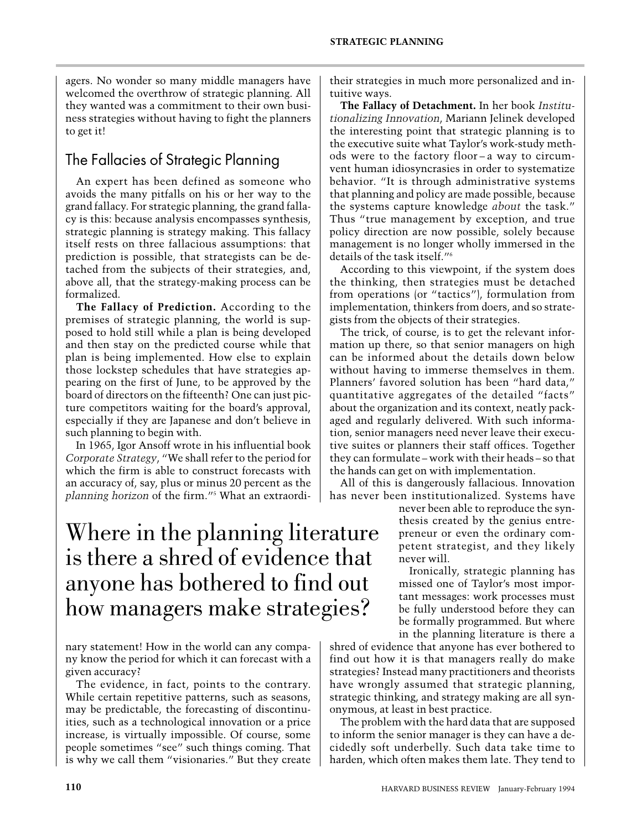agers. No wonder so many middle managers have welcomed the overthrow of strategic planning. All they wanted was a commitment to their own business strategies without having to fight the planners to get it!

## The Fallacies of Strategic Planning

An expert has been defined as someone who avoids the many pitfalls on his or her way to the grand fallacy. For strategic planning, the grand fallacy is this: because analysis encompasses synthesis, strategic planning is strategy making. This fallacy itself rests on three fallacious assumptions: that prediction is possible, that strategists can be detached from the subjects of their strategies, and, above all, that the strategy-making process can be formalized.

**The Fallacy of Prediction.** According to the premises of strategic planning, the world is supposed to hold still while a plan is being developed and then stay on the predicted course while that plan is being implemented. How else to explain those lockstep schedules that have strategies appearing on the first of June, to be approved by the board of directors on the fifteenth? One can just picture competitors waiting for the board's approval, especially if they are Japanese and don't believe in such planning to begin with.

In 1965, Igor Ansoff wrote in his influential book *Corporate Strategy*, "We shall refer to the period for which the firm is able to construct forecasts with an accuracy of, say, plus or minus 20 percent as the *planning horizon* of the firm."5 What an extraorditheir strategies in much more personalized and intuitive ways.

**The Fallacy of Detachment.** In her book *Institutionalizing Innovation*, Mariann Jelinek developed the interesting point that strategic planning is to the executive suite what Taylor's work-study methods were to the factory floor – a way to circumvent human idiosyncrasies in order to systematize behavior. "It is through administrative systems that planning and policy are made possible, because the systems capture knowledge *about* the task." Thus "true management by exception, and true policy direction are now possible, solely because management is no longer wholly immersed in the details of the task itself."6

According to this viewpoint, if the system does the thinking, then strategies must be detached from operations (or "tactics"), formulation from implementation, thinkers from doers, and so strategists from the objects of their strategies.

The trick, of course, is to get the relevant information up there, so that senior managers on high can be informed about the details down below without having to immerse themselves in them. Planners' favored solution has been "hard data," quantitative aggregates of the detailed "facts" about the organization and its context, neatly packaged and regularly delivered. With such information, senior managers need never leave their executive suites or planners their staff offices. Together they can formulate – work with their heads – so that the hands can get on with implementation.

All of this is dangerously fallacious. Innovation has never been institutionalized. Systems have

> never been able to reproduce the synthesis created by the genius entrepreneur or even the ordinary competent strategist, and they likely never will.

> Ironically, strategic planning has missed one of Taylor's most important messages: work processes must be fully understood before they can be formally programmed. But where in the planning literature is there a

shred of evidence that anyone has ever bothered to find out how it is that managers really do make strategies? Instead many practitioners and theorists have wrongly assumed that strategic planning, strategic thinking, and strategy making are all synonymous, at least in best practice.

The problem with the hard data that are supposed to inform the senior manager is they can have a decidedly soft underbelly. Such data take time to harden, which often makes them late. They tend to

# Where in the planning literature is there a shred of evidence that anyone has bothered to find out how managers make strategies?

nary statement! How in the world can any company know the period for which it can forecast with a given accuracy?

The evidence, in fact, points to the contrary. While certain repetitive patterns, such as seasons, may be predictable, the forecasting of discontinuities, such as a technological innovation or a price increase, is virtually impossible. Of course, some people sometimes "see" such things coming. That is why we call them "visionaries." But they create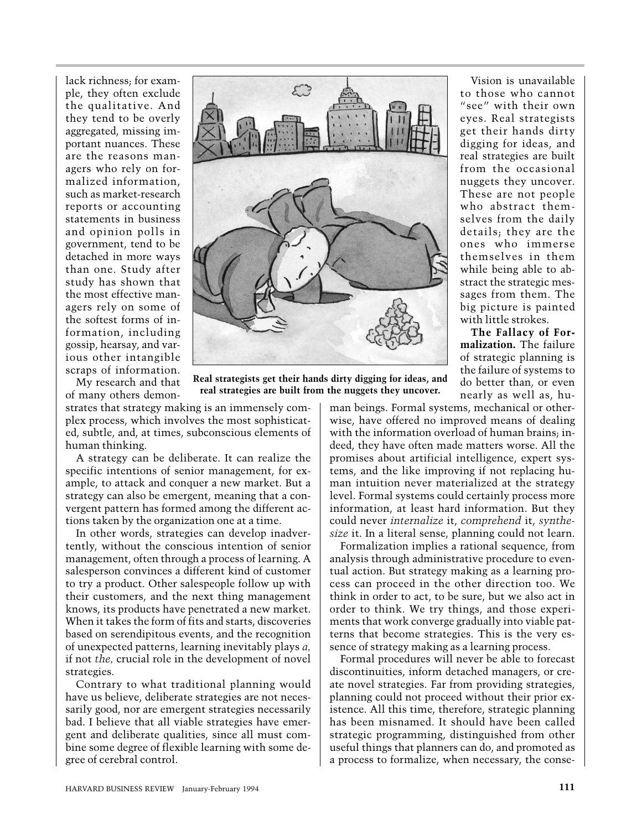lack richness; for example, they often exclude the qualitative. And they tend to be overly aggregated, missing important nuances. These are the reasons managers who rely on formalized information, such as market-research reports or accounting statements in business and opinion polls in government, tend to be detached in more ways than one. Study after study has shown that the most effective managers rely on some of the softest forms of information, including gossip, hearsay, and various other intangible scraps of information. My research and that

of many others demon-



**Real strategists get their hands dirty digging for ideas, and real strategies are built from the nuggets they uncover.**

strates that strategy making is an immensely complex process, which involves the most sophisticated, subtle, and, at times, subconscious elements of human thinking.

A strategy can be deliberate. It can realize the specific intentions of senior management, for example, to attack and conquer a new market. But a strategy can also be emergent, meaning that a convergent pattern has formed among the different actions taken by the organization one at a time.

In other words, strategies can develop inadvertently, without the conscious intention of senior management, often through a process of learning. A salesperson convinces a different kind of customer to try a product. Other salespeople follow up with their customers, and the next thing management knows, its products have penetrated a new market. When it takes the form of fits and starts, discoveries based on serendipitous events, and the recognition of unexpected patterns, learning inevitably plays *a,* if not *the,* crucial role in the development of novel strategies.

Contrary to what traditional planning would have us believe, deliberate strategies are not necessarily good, nor are emergent strategies necessarily bad. I believe that all viable strategies have emergent and deliberate qualities, since all must combine some degree of flexible learning with some degree of cerebral control.

Vision is unavailable to those who cannot "see" with their own eyes. Real strategists get their hands dirty digging for ideas, and real strategies are built from the occasional nuggets they uncover. These are not people who abstract themselves from the daily details; they are the ones who immerse themselves in them while being able to abstract the strategic messages from them. The big picture is painted with little strokes.

**The Fallacy of Formalization.** The failure of strategic planning is the failure of systems to do better than, or even nearly as well as, hu-

man beings. Formal systems, mechanical or otherwise, have offered no improved means of dealing with the information overload of human brains; indeed, they have often made matters worse. All the promises about artificial intelligence, expert systems, and the like improving if not replacing human intuition never materialized at the strategy level. Formal systems could certainly process more information, at least hard information. But they could never *internalize* it, *comprehend* it, *synthesize* it. In a literal sense, planning could not learn.

Formalization implies a rational sequence, from analysis through administrative procedure to eventual action. But strategy making as a learning process can proceed in the other direction too. We think in order to act, to be sure, but we also act in order to think. We try things, and those experiments that work converge gradually into viable patterns that become strategies. This is the very essence of strategy making as a learning process.

Formal procedures will never be able to forecast discontinuities, inform detached managers, or create novel strategies. Far from providing strategies, planning could not proceed without their prior existence. All this time, therefore, strategic planning has been misnamed. It should have been called strategic programming, distinguished from other useful things that planners can do, and promoted as a process to formalize, when necessary, the conse-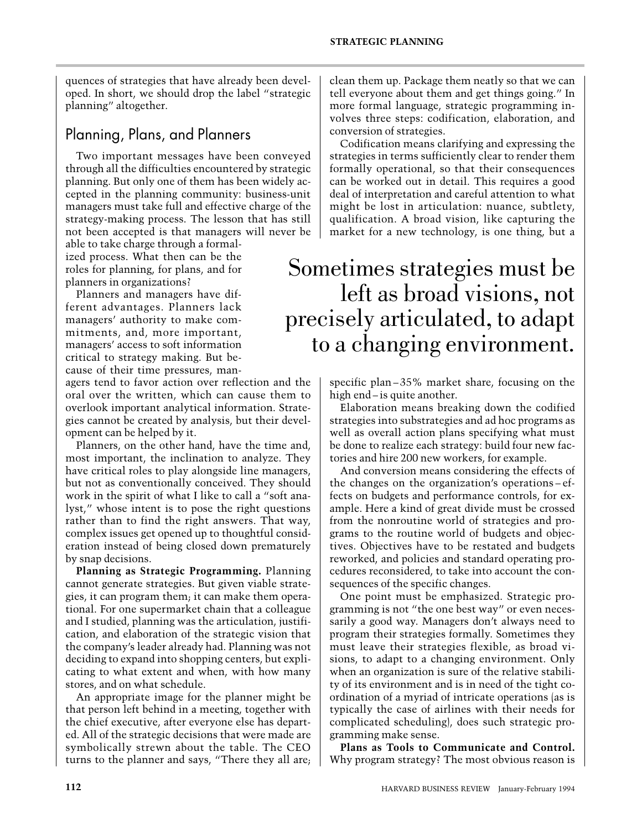quences of strategies that have already been developed. In short, we should drop the label "strategic planning" altogether.

### Planning, Plans, and Planners

Two important messages have been conveyed through all the difficulties encountered by strategic planning. But only one of them has been widely accepted in the planning community: business-unit managers must take full and effective charge of the strategy-making process. The lesson that has still not been accepted is that managers will never be

able to take charge through a formalized process. What then can be the roles for planning, for plans, and for planners in organizations?

Planners and managers have different advantages. Planners lack managers' authority to make commitments, and, more important, managers' access to soft information critical to strategy making. But because of their time pressures, man-

agers tend to favor action over reflection and the oral over the written, which can cause them to overlook important analytical information. Strategies cannot be created by analysis, but their development can be helped by it.

Planners, on the other hand, have the time and, most important, the inclination to analyze. They have critical roles to play alongside line managers, but not as conventionally conceived. They should work in the spirit of what I like to call a "soft analyst," whose intent is to pose the right questions rather than to find the right answers. That way, complex issues get opened up to thoughtful consideration instead of being closed down prematurely by snap decisions.

**Planning as Strategic Programming.** Planning cannot generate strategies. But given viable strategies, it can program them; it can make them operational. For one supermarket chain that a colleague and I studied, planning was the articulation, justification, and elaboration of the strategic vision that the company's leader already had. Planning was not deciding to expand into shopping centers, but explicating to what extent and when, with how many stores, and on what schedule.

An appropriate image for the planner might be that person left behind in a meeting, together with the chief executive, after everyone else has departed. All of the strategic decisions that were made are symbolically strewn about the table. The CEO turns to the planner and says, "There they all are; clean them up. Package them neatly so that we can tell everyone about them and get things going." In more formal language, strategic programming involves three steps: codification, elaboration, and conversion of strategies.

Codification means clarifying and expressing the strategies in terms sufficiently clear to render them formally operational, so that their consequences can be worked out in detail. This requires a good deal of interpretation and careful attention to what might be lost in articulation: nuance, subtlety, qualification. A broad vision, like capturing the market for a new technology, is one thing, but a

# Sometimes strategies must be left as broad visions, not precisely articulated, to adapt to a changing environment.

specific plan – 35% market share, focusing on the high end – is quite another.

Elaboration means breaking down the codified strategies into substrategies and ad hoc programs as well as overall action plans specifying what must be done to realize each strategy: build four new factories and hire 200 new workers, for example.

And conversion means considering the effects of the changes on the organization's operations – effects on budgets and performance controls, for example. Here a kind of great divide must be crossed from the nonroutine world of strategies and programs to the routine world of budgets and objectives. Objectives have to be restated and budgets reworked, and policies and standard operating procedures reconsidered, to take into account the consequences of the specific changes.

One point must be emphasized. Strategic programming is not "the one best way" or even necessarily a good way. Managers don't always need to program their strategies formally. Sometimes they must leave their strategies flexible, as broad visions, to adapt to a changing environment. Only when an organization is sure of the relative stability of its environment and is in need of the tight coordination of a myriad of intricate operations (as is typically the case of airlines with their needs for complicated scheduling), does such strategic programming make sense.

**Plans as Tools to Communicate and Control.** Why program strategy? The most obvious reason is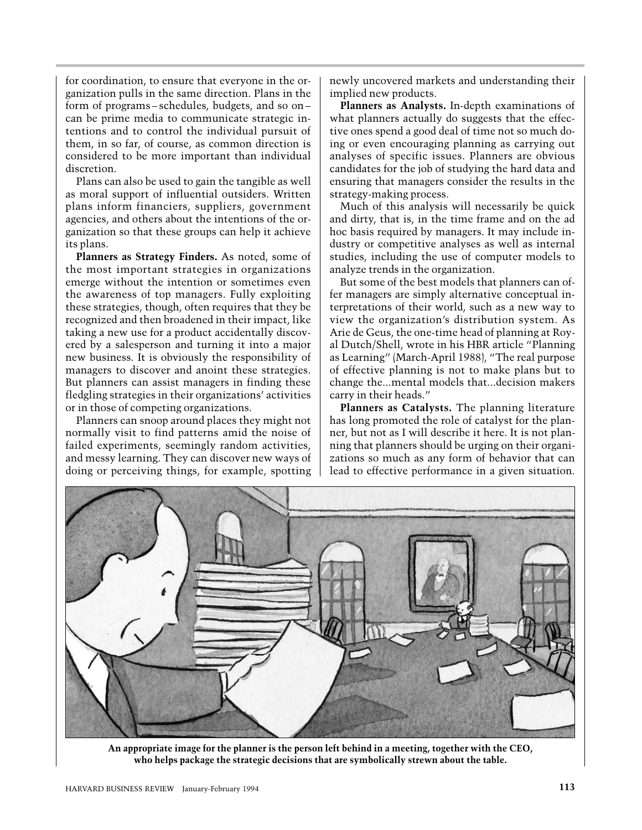for coordination, to ensure that everyone in the organization pulls in the same direction. Plans in the form of programs – schedules, budgets, and so on – can be prime media to communicate strategic intentions and to control the individual pursuit of them, in so far, of course, as common direction is considered to be more important than individual discretion.

Plans can also be used to gain the tangible as well as moral support of influential outsiders. Written plans inform financiers, suppliers, government agencies, and others about the intentions of the organization so that these groups can help it achieve its plans.

**Planners as Strategy Finders.** As noted, some of the most important strategies in organizations emerge without the intention or sometimes even the awareness of top managers. Fully exploiting these strategies, though, often requires that they be recognized and then broadened in their impact, like taking a new use for a product accidentally discovered by a salesperson and turning it into a major new business. It is obviously the responsibility of managers to discover and anoint these strategies. But planners can assist managers in finding these fledgling strategies in their organizations' activities or in those of competing organizations.

Planners can snoop around places they might not normally visit to find patterns amid the noise of failed experiments, seemingly random activities, and messy learning. They can discover new ways of doing or perceiving things, for example, spotting newly uncovered markets and understanding their implied new products.

**Planners as Analysts.** In-depth examinations of what planners actually do suggests that the effective ones spend a good deal of time not so much doing or even encouraging planning as carrying out analyses of specific issues. Planners are obvious candidates for the job of studying the hard data and ensuring that managers consider the results in the strategy-making process.

Much of this analysis will necessarily be quick and dirty, that is, in the time frame and on the ad hoc basis required by managers. It may include industry or competitive analyses as well as internal studies, including the use of computer models to analyze trends in the organization.

But some of the best models that planners can offer managers are simply alternative conceptual interpretations of their world, such as a new way to view the organization's distribution system. As Arie de Geus, the one-time head of planning at Royal Dutch/Shell, wrote in his HBR article "Planning as Learning" (March-April 1988), "The real purpose of effective planning is not to make plans but to change the...mental models that...decision makers carry in their heads."

**Planners as Catalysts.** The planning literature has long promoted the role of catalyst for the planner, but not as I will describe it here. It is not planning that planners should be urging on their organizations so much as any form of behavior that can lead to effective performance in a given situation.



**An appropriate image for the planner is the person left behind in a meeting, together with the CEO, who helps package the strategic decisions that are symbolically strewn about the table.**